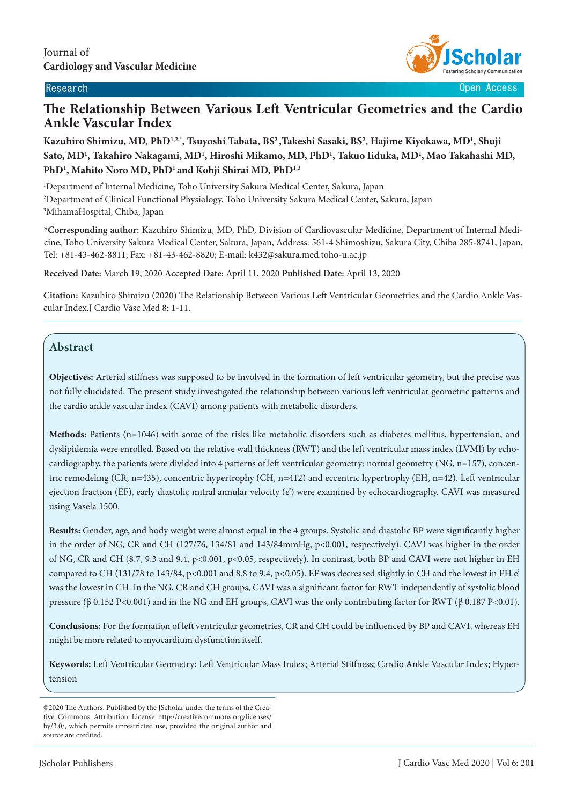

Research **Contract Contract Contract Contract Contract Contract Contract Contract Contract Contract Contract Contract Contract Contract Contract Contract Contract Contract Contract Contract Contract Contract Contract Contr** 

# **The Relationship Between Various Left Ventricular Geometries and the Cardio Ankle Vascular Index**

**Kazuhiro Shimizu, MD, PhD1,2,\*, Tsuyoshi Tabata, BS2 ,Takeshi Sasaki, BS2 , Hajime Kiyokawa, MD1 , Shuji Sato, MD1 , Takahiro Nakagami, MD1 , Hiroshi Mikamo, MD, PhD1 , Takuo Iiduka, MD1 , Mao Takahashi MD, PhD1 , Mahito Noro MD, PhD1 and Kohji Shirai MD, PhD1,3**

1 Department of Internal Medicine, Toho University Sakura Medical Center, Sakura, Japan **2** Department of Clinical Functional Physiology, Toho University Sakura Medical Center, Sakura, Japan **3** MihamaHospital, Chiba, Japan

**\*Corresponding author:** Kazuhiro Shimizu, MD, PhD, Division of Cardiovascular Medicine, Department of Internal Medicine, Toho University Sakura Medical Center, Sakura, Japan, Address: 561-4 Shimoshizu, Sakura City, Chiba 285-8741, Japan, Tel: +81-43-462-8811; Fax: +81-43-462-8820; E-mail: k432@sakura.med.toho-u.ac.jp

**Received Date:** March 19, 2020 **Accepted Date:** April 11, 2020 **Published Date:** April 13, 2020

**Citation:** Kazuhiro Shimizu (2020) The Relationship Between Various Left Ventricular Geometries and the Cardio Ankle Vascular Index.J Cardio Vasc Med 8: 1-11.

# **Abstract**

**Objectives:** Arterial stiffness was supposed to be involved in the formation of left ventricular geometry, but the precise was not fully elucidated. The present study investigated the relationship between various left ventricular geometric patterns and the cardio ankle vascular index (CAVI) among patients with metabolic disorders.

**Methods:** Patients (n=1046) with some of the risks like metabolic disorders such as diabetes mellitus, hypertension, and dyslipidemia were enrolled. Based on the relative wall thickness (RWT) and the left ventricular mass index (LVMI) by echocardiography, the patients were divided into 4 patterns of left ventricular geometry: normal geometry (NG, n=157), concentric remodeling (CR, n=435), concentric hypertrophy (CH, n=412) and eccentric hypertrophy (EH, n=42). Left ventricular ejection fraction (EF), early diastolic mitral annular velocity (e') were examined by echocardiography. CAVI was measured using Vasela 1500.

**Results:** Gender, age, and body weight were almost equal in the 4 groups. Systolic and diastolic BP were significantly higher in the order of NG, CR and CH (127/76, 134/81 and 143/84mmHg, p<0.001, respectively). CAVI was higher in the order of NG, CR and CH (8.7, 9.3 and 9.4, p<0.001, p<0.05, respectively). In contrast, both BP and CAVI were not higher in EH compared to CH (131/78 to 143/84, p<0.001 and 8.8 to 9.4, p<0.05). EF was decreased slightly in CH and the lowest in EH.e' was the lowest in CH. In the NG, CR and CH groups, CAVI was a significant factor for RWT independently of systolic blood pressure (β 0.152 P<0.001) and in the NG and EH groups, CAVI was the only contributing factor for RWT (β 0.187 P<0.01).

**Conclusions:** For the formation of left ventricular geometries, CR and CH could be influenced by BP and CAVI, whereas EH might be more related to myocardium dysfunction itself.

**Keywords:** Left Ventricular Geometry; Left Ventricular Mass Index; Arterial Stiffness; Cardio Ankle Vascular Index; Hypertension

<sup>©2020</sup> The Authors. Published by the JScholar under the terms of the Creative Commons Attribution License http://creativecommons.org/licenses/ by/3.0/, which permits unrestricted use, provided the original author and source are credited.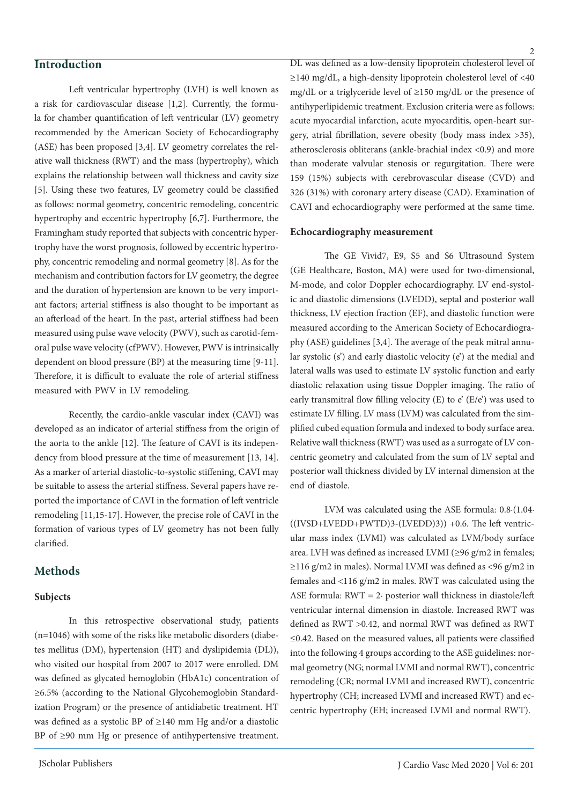# **Introduction**

Left ventricular hypertrophy (LVH) is well known as a risk for cardiovascular disease [1,2]. Currently, the formula for chamber quantification of left ventricular (LV) geometry recommended by the American Society of Echocardiography (ASE) has been proposed [3,4]. LV geometry correlates the relative wall thickness (RWT) and the mass (hypertrophy), which explains the relationship between wall thickness and cavity size [5]. Using these two features, LV geometry could be classified as follows: normal geometry, concentric remodeling, concentric hypertrophy and eccentric hypertrophy [6,7]. Furthermore, the Framingham study reported that subjects with concentric hypertrophy have the worst prognosis, followed by eccentric hypertrophy, concentric remodeling and normal geometry [8]. As for the mechanism and contribution factors for LV geometry, the degree and the duration of hypertension are known to be very important factors; arterial stiffness is also thought to be important as an afterload of the heart. In the past, arterial stiffness had been measured using pulse wave velocity (PWV), such as carotid-femoral pulse wave velocity (cfPWV). However, PWV is intrinsically dependent on blood pressure (BP) at the measuring time [9-11]. Therefore, it is difficult to evaluate the role of arterial stiffness measured with PWV in LV remodeling.

Recently, the cardio-ankle vascular index (CAVI) was developed as an indicator of arterial stiffness from the origin of the aorta to the ankle [12]. The feature of CAVI is its independency from blood pressure at the time of measurement [13, 14]. As a marker of arterial diastolic-to-systolic stiffening, CAVI may be suitable to assess the arterial stiffness. Several papers have reported the importance of CAVI in the formation of left ventricle remodeling [11,15-17]. However, the precise role of CAVI in the formation of various types of LV geometry has not been fully clarified.

# **Methods**

#### **Subjects**

In this retrospective observational study, patients (n=1046) with some of the risks like metabolic disorders (diabetes mellitus (DM), hypertension (HT) and dyslipidemia (DL)), who visited our hospital from 2007 to 2017 were enrolled. DM was defined as glycated hemoglobin (HbA1c) concentration of ≥6.5% (according to the National Glycohemoglobin Standardization Program) or the presence of antidiabetic treatment. HT was defined as a systolic BP of ≥140 mm Hg and/or a diastolic BP of ≥90 mm Hg or presence of antihypertensive treatment.

DL was defined as a low-density lipoprotein cholesterol level of ≥140 mg/dL, a high-density lipoprotein cholesterol level of <40 mg/dL or a triglyceride level of ≥150 mg/dL or the presence of antihyperlipidemic treatment. Exclusion criteria were as follows: acute myocardial infarction, acute myocarditis, open-heart surgery, atrial fibrillation, severe obesity (body mass index >35), atherosclerosis obliterans (ankle-brachial index <0.9) and more than moderate valvular stenosis or regurgitation. There were 159 (15%) subjects with cerebrovascular disease (CVD) and 326 (31%) with coronary artery disease (CAD). Examination of CAVI and echocardiography were performed at the same time.

#### **Echocardiography measurement**

The GE Vivid7, E9, S5 and S6 Ultrasound System (GE Healthcare, Boston, MA) were used for two-dimensional, M-mode, and color Doppler echocardiography. LV end-systolic and diastolic dimensions (LVEDD), septal and posterior wall thickness, LV ejection fraction (EF), and diastolic function were measured according to the American Society of Echocardiography (ASE) guidelines [3,4]. The average of the peak mitral annular systolic (s') and early diastolic velocity (e') at the medial and lateral walls was used to estimate LV systolic function and early diastolic relaxation using tissue Doppler imaging. The ratio of early transmitral flow filling velocity (E) to  $e'$  (E/ $e'$ ) was used to estimate LV filling. LV mass (LVM) was calculated from the simplified cubed equation formula and indexed to body surface area. Relative wall thickness (RWT) was used as a surrogate of LV concentric geometry and calculated from the sum of LV septal and posterior wall thickness divided by LV internal dimension at the end of diastole.

LVM was calculated using the ASE formula: 0.8∙(1.04∙  $((IVSD+LVEDD+PWTD)3-(LVEDD)3)) +0.6$ . The left ventricular mass index (LVMI) was calculated as LVM/body surface area. LVH was defined as increased LVMI (≥96 g/m2 in females; ≥116 g/m2 in males). Normal LVMI was defined as <96 g/m2 in females and <116 g/m2 in males. RWT was calculated using the ASE formula: RWT = 2∙ posterior wall thickness in diastole/left ventricular internal dimension in diastole. Increased RWT was defined as RWT >0.42, and normal RWT was defined as RWT ≤0.42. Based on the measured values, all patients were classified into the following 4 groups according to the ASE guidelines: normal geometry (NG; normal LVMI and normal RWT), concentric remodeling (CR; normal LVMI and increased RWT), concentric hypertrophy (CH; increased LVMI and increased RWT) and eccentric hypertrophy (EH; increased LVMI and normal RWT).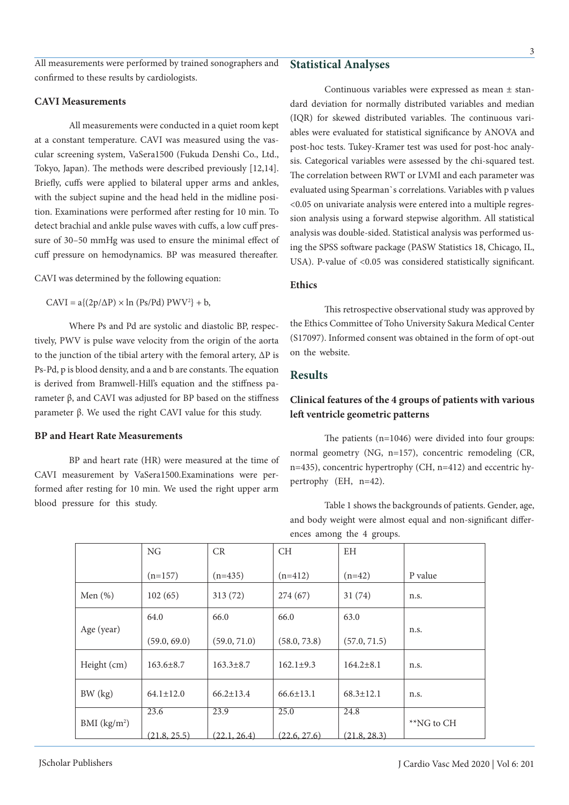#### **CAVI Measurements**

All measurements were conducted in a quiet room kept at a constant temperature. CAVI was measured using the vascular screening system, VaSera1500 (Fukuda Denshi Co., Ltd., Tokyo, Japan). The methods were described previously [12,14]. Briefly, cuffs were applied to bilateral upper arms and ankles, with the subject supine and the head held in the midline position. Examinations were performed after resting for 10 min. To detect brachial and ankle pulse waves with cuffs, a low cuff pressure of 30–50 mmHg was used to ensure the minimal effect of cuff pressure on hemodynamics. BP was measured thereafter.

CAVI was determined by the following equation:

 $CAVI = a\{(2p/\Delta P) \times \ln (Ps/Pd) P W V^2\} + b,$ 

Where Ps and Pd are systolic and diastolic BP, respectively, PWV is pulse wave velocity from the origin of the aorta to the junction of the tibial artery with the femoral artery, ΔP is Ps-Pd, p is blood density, and a and b are constants. The equation is derived from Bramwell-Hill's equation and the stiffness parameter β, and CAVI was adjusted for BP based on the stiffness parameter β. We used the right CAVI value for this study.

#### **BP and Heart Rate Measurements**

BP and heart rate (HR) were measured at the time of CAVI measurement by VaSera1500.Examinations were performed after resting for 10 min. We used the right upper arm blood pressure for this study.

NG

CR

## **Statistical Analyses**

Continuous variables were expressed as mean ± standard deviation for normally distributed variables and median (IQR) for skewed distributed variables. The continuous variables were evaluated for statistical significance by ANOVA and post-hoc tests. Tukey-Kramer test was used for post-hoc analysis. Categorical variables were assessed by the chi-squared test. The correlation between RWT or LVMI and each parameter was evaluated using Spearman`s correlations. Variables with p values <0.05 on univariate analysis were entered into a multiple regression analysis using a forward stepwise algorithm. All statistical analysis was double-sided. Statistical analysis was performed using the SPSS software package (PASW Statistics 18, Chicago, IL, USA). P-value of <0.05 was considered statistically significant.

#### **Ethics**

This retrospective observational study was approved by the Ethics Committee of Toho University Sakura Medical Center (S17097). Informed consent was obtained in the form of opt-out on the website.

# **Results**

## **Clinical features of the 4 groups of patients with various left ventricle geometric patterns**

The patients (n=1046) were divided into four groups: normal geometry (NG, n=157), concentric remodeling (CR, n=435), concentric hypertrophy (CH, n=412) and eccentric hypertrophy (EH, n=42).

Table 1 shows the backgrounds of patients. Gender, age, and body weight were almost equal and non-significant differences among the 4 groups.

|                          | $(n=157)$       | $(n=435)$       | $(n=412)$       | $(n=42)$        | P value    |
|--------------------------|-----------------|-----------------|-----------------|-----------------|------------|
| Men $(\%)$               | 102(65)         | 313(72)         | 274(67)         | 31(74)          | n.s.       |
|                          | 64.0            | 66.0            | 66.0            | 63.0            |            |
| Age (year)               |                 |                 |                 |                 | n.s.       |
|                          | (59.0, 69.0)    | (59.0, 71.0)    | (58.0, 73.8)    | (57.0, 71.5)    |            |
| Height (cm)              | $163.6 \pm 8.7$ | $163.3 \pm 8.7$ | $162.1 \pm 9.3$ | $164.2 \pm 8.1$ | n.s.       |
| BW (kg)                  | $64.1 \pm 12.0$ | $66.2 \pm 13.4$ | $66.6 \pm 13.1$ | $68.3 \pm 12.1$ | n.s.       |
|                          | 23.6            | 23.9            | 25.0            | 24.8            |            |
| BMI (kg/m <sup>2</sup> ) |                 |                 |                 |                 | **NG to CH |
|                          | (21.8, 25.5)    | (22.1, 26.4)    | (22.6, 27.6)    | (21.8, 28.3)    |            |

CH

EH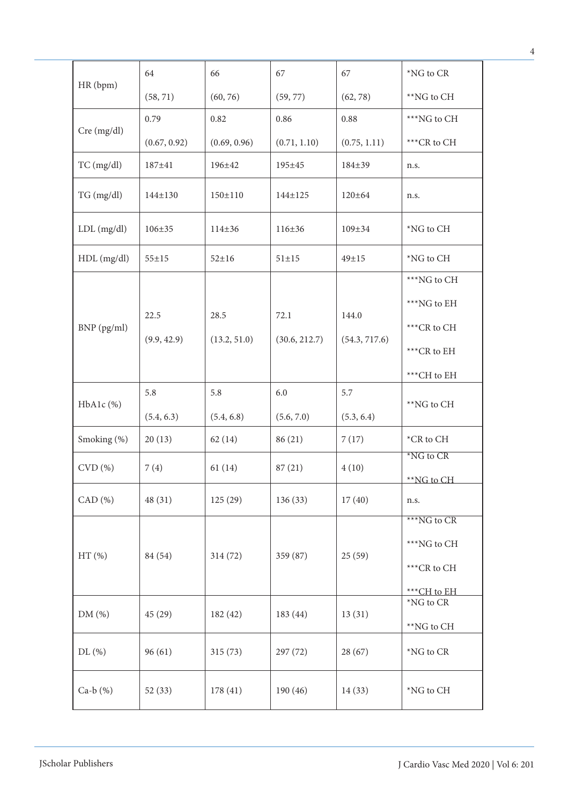| HR (bpm)     | 64            | 66           | 67            | 67            | *NG to CR            |
|--------------|---------------|--------------|---------------|---------------|----------------------|
|              | (58, 71)      | (60, 76)     | (59, 77)      | (62, 78)      | **NG to CH           |
|              | 0.79          | 0.82         | 0.86          | 0.88          | ***NG to CH          |
| Cre (mg/dl)  | (0.67, 0.92)  | (0.69, 0.96) | (0.71, 1.10)  | (0.75, 1.11)  | ***CR to CH          |
| $TC$ (mg/dl) | 187±41        | 196±42       | 195±45        | 184±39        | n.s.                 |
| TG (mg/dl)   | $144 \pm 130$ | 150±110      | $144 \pm 125$ | $120 \pm 64$  | n.s.                 |
| LDL (mg/dl)  | $106 \pm 35$  | $114 \pm 36$ | $116 \pm 36$  | $109 \pm 34$  | *NG to CH            |
| HDL (mg/dl)  | $55 + 15$     | $52 \pm 16$  | $51\pm15$     | $49 \pm 15$   | *NG to CH            |
|              |               |              |               |               | ***NG to CH          |
|              |               |              |               |               | ***NG to EH          |
| BNP (pg/ml)  | 22.5          | 28.5         | 72.1          | 144.0         | ***CR to CH          |
|              | (9.9, 42.9)   | (13.2, 51.0) | (30.6, 212.7) | (54.3, 717.6) | ***CR to EH          |
|              |               |              |               |               | ***CH to EH          |
| HbA1c (%)    | 5.8           | 5.8          | 6.0           | 5.7           | **NG to CH           |
|              | (5.4, 6.3)    | (5.4, 6.8)   | (5.6, 7.0)    | (5.3, 6.4)    |                      |
| Smoking (%)  | 20(13)        | 62(14)       | 86 (21)       | 7(17)         | *CR to CH            |
| CVD(%)       | 7(4)          | 61(14)       | 87(21)        | 4(10)         | *NG to CR            |
|              |               |              |               |               | **NG to CH           |
| CAD (%)      | 48 (31)       | 125(29)      | 136(33)       | 17(40)        | n.s.                 |
|              |               |              |               |               | ***NG to CR          |
|              | 84 (54)       | 314(72)      | 359 (87)      | 25(59)        | ***NG to CH          |
| $HT$ $(\% )$ |               |              |               |               | ***CR to CH          |
|              |               |              |               |               | ***CH to EH          |
| DM (%)       | 45(29)        | 182(42)      | 183 (44)      | 13(31)        | *NG to CR            |
|              |               |              |               |               | **NG to CH           |
| DL(%)        | 96(61)        | 315(73)      | 297 (72)      | 28(67)        | $^*\!{\rm NG}$ to CR |
| Ca- $b(%)$   | 52(33)        | 178 (41)     | 190 (46)      | 14(33)        | $*NG$ to $CH$        |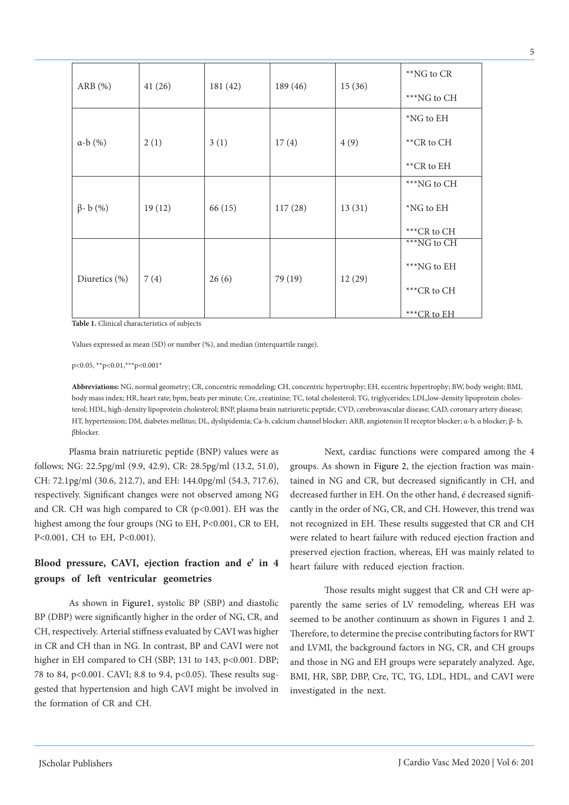| 41(26) | 181(42) | 189(46) | 15(36)  | **NG to CR  |
|--------|---------|---------|---------|-------------|
|        |         |         |         | ***NG to CH |
| 2(1)   | 3(1)    | 17(4)   | 4(9)    | $*NG$ to EH |
|        |         |         |         | **CR to CH  |
|        |         |         |         | **CR to EH  |
| 19(12) | 66 (15) | 117(28) | 13(31)  | ***NG to CH |
|        |         |         |         | $*NG$ to EH |
|        |         |         |         | ***CR to CH |
|        |         |         |         | ***NG to CH |
|        |         |         |         | ***NG to EH |
| 7(4)   | 26(6)   |         | 12(29)  | ***CR to CH |
|        |         |         |         | ***CR to EH |
|        |         |         | 79 (19) |             |

**Table 1.** Clinical characteristics of subjects

Values expressed as mean (SD) or number (%), and median (interquartile range).

p<0.05, \*\*p<0.01,\*\*\*p<0.001\*

**Abbreviations:** NG, normal geometry; CR, concentric remodeling; CH, concentric hypertrophy; EH, eccentric hypertrophy; BW, body weight; BMI, body mass index; HR, heart rate; bpm, beats per minute; Cre, creatinine; TC, total cholesterol; TG, triglycerides; LDL,low-density lipoprotein cholesterol; HDL, high-density lipoprotein cholesterol; BNP, plasma brain natriuretic peptide; CVD, cerebrovascular disease; CAD, coronary artery disease; HT, hypertension; DM, diabetes mellitus; DL, dyslipidemia; Ca-b, calcium channel blocker; ARB, angiotensin II receptor blocker; α-b, α blocker; β- b, βblocker.

Plasma brain natriuretic peptide (BNP) values were as follows; NG: 22.5pg/ml (9.9, 42.9), CR: 28.5pg/ml (13.2, 51.0), CH: 72.1pg/ml (30.6, 212.7), and EH: 144.0pg/ml (54.3, 717.6), respectively. Significant changes were not observed among NG and CR. CH was high compared to CR  $(p<0.001)$ . EH was the highest among the four groups (NG to EH, P<0.001, CR to EH, P<0.001, CH to EH, P<0.001).

# **Blood pressure, CAVI, ejection fraction and e' in 4 groups of left ventricular geometries**

As shown in Figure1, systolic BP (SBP) and diastolic BP (DBP) were significantly higher in the order of NG, CR, and CH, respectively. Arterial stiffness evaluated by CAVI was higher in CR and CH than in NG. In contrast, BP and CAVI were not higher in EH compared to CH (SBP; 131 to 143, p<0.001. DBP; 78 to 84, p<0.001. CAVI; 8.8 to 9.4, p<0.05). These results suggested that hypertension and high CAVI might be involved in the formation of CR and CH.

Next, cardiac functions were compared among the 4 groups. As shown in Figure 2, the ejection fraction was maintained in NG and CR, but decreased significantly in CH, and decreased further in EH. On the other hand, é decreased significantly in the order of NG, CR, and CH. However, this trend was not recognized in EH. These results suggested that CR and CH were related to heart failure with reduced ejection fraction and preserved ejection fraction, whereas, EH was mainly related to heart failure with reduced ejection fraction.

Those results might suggest that CR and CH were apparently the same series of LV remodeling, whereas EH was seemed to be another continuum as shown in Figures 1 and 2. Therefore, to determine the precise contributing factors for RWT and LVMI, the background factors in NG, CR, and CH groups and those in NG and EH groups were separately analyzed. Age, BMI, HR, SBP, DBP, Cre, TC, TG, LDL, HDL, and CAVI were investigated in the next.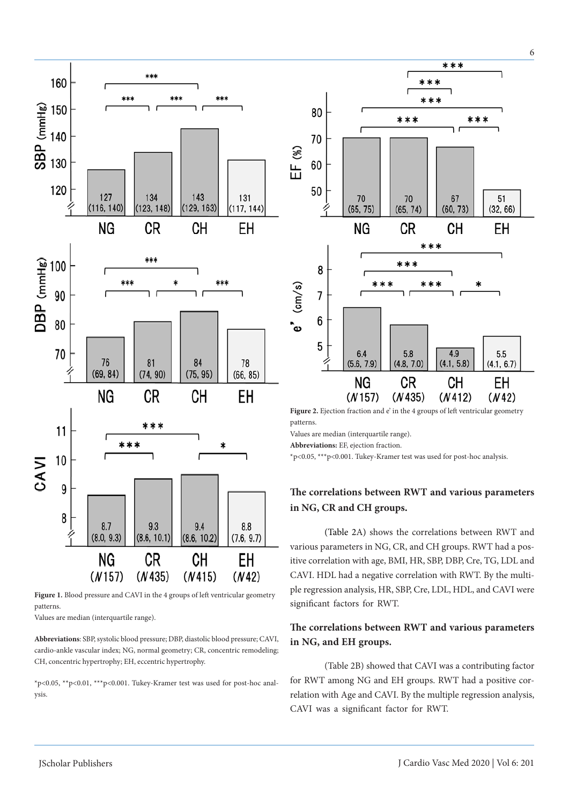

Figure 1. Blood pressure and CAVI in the 4 groups of left ventricular geometry patterns.

Values are median (interquartile range).

**Abbreviations**: SBP, systolic blood pressure; DBP, diastolic blood pressure; CAVI, cardio-ankle vascular index; NG, normal geometry; CR, concentric remodeling; CH, concentric hypertrophy; EH, eccentric hypertrophy.

\*p<0.05, \*\*p<0.01, \*\*\*p<0.001. Tukey-Kramer test was used for post-hoc analysis.



Figure 2. Ejection fraction and e' in the 4 groups of left ventricular geometry patterns.

Values are median (interquartile range).

**Abbreviations:** EF, ejection fraction.

\*p<0.05, \*\*\*p<0.001. Tukey-Kramer test was used for post-hoc analysis.

# **The correlations between RWT and various parameters in NG, CR and CH groups.**

(Table 2A) shows the correlations between RWT and various parameters in NG, CR, and CH groups. RWT had a positive correlation with age, BMI, HR, SBP, DBP, Cre, TG, LDL and CAVI. HDL had a negative correlation with RWT. By the multiple regression analysis, HR, SBP, Cre, LDL, HDL, and CAVI were significant factors for RWT.

# **The correlations between RWT and various parameters in NG, and EH groups.**

(Table 2B) showed that CAVI was a contributing factor for RWT among NG and EH groups. RWT had a positive correlation with Age and CAVI. By the multiple regression analysis, CAVI was a significant factor for RWT.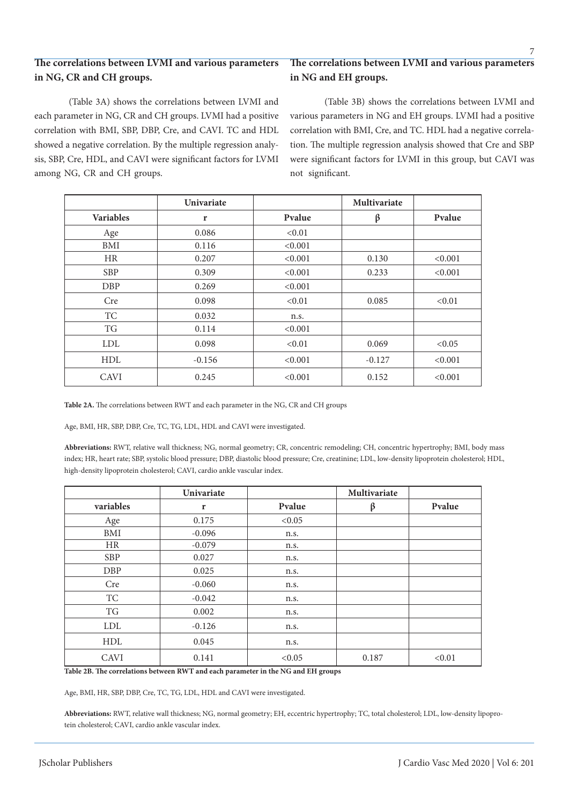# **The correlations between LVMI and various parameters in NG, CR and CH groups.**

(Table 3A) shows the correlations between LVMI and each parameter in NG, CR and CH groups. LVMI had a positive correlation with BMI, SBP, DBP, Cre, and CAVI. TC and HDL showed a negative correlation. By the multiple regression analysis, SBP, Cre, HDL, and CAVI were significant factors for LVMI among NG, CR and CH groups.

# **The correlations between LVMI and various parameters in NG and EH groups.**

(Table 3B) shows the correlations between LVMI and various parameters in NG and EH groups. LVMI had a positive correlation with BMI, Cre, and TC. HDL had a negative correlation. The multiple regression analysis showed that Cre and SBP were significant factors for LVMI in this group, but CAVI was not significant.

|                  | <b>Univariate</b> |         | <b>Multivariate</b> |         |
|------------------|-------------------|---------|---------------------|---------|
| <b>Variables</b> | r                 | Pvalue  | β                   | Pvalue  |
| Age              | 0.086             | < 0.01  |                     |         |
| BMI              | 0.116             | < 0.001 |                     |         |
| <b>HR</b>        | 0.207             | < 0.001 | 0.130               | < 0.001 |
| <b>SBP</b>       | 0.309             | < 0.001 | 0.233               | < 0.001 |
| <b>DBP</b>       | 0.269             | < 0.001 |                     |         |
| Cre              | 0.098             | < 0.01  | 0.085               | < 0.01  |
| TC               | 0.032             | n.s.    |                     |         |
| TG               | 0.114             | < 0.001 |                     |         |
| <b>LDL</b>       | 0.098             | < 0.01  | 0.069               | < 0.05  |
| <b>HDL</b>       | $-0.156$          | < 0.001 | $-0.127$            | < 0.001 |
| <b>CAVI</b>      | 0.245             | < 0.001 | 0.152               | < 0.001 |

**Table 2A.** The correlations between RWT and each parameter in the NG, CR and CH groups

Age, BMI, HR, SBP, DBP, Cre, TC, TG, LDL, HDL and CAVI were investigated.

**Abbreviations:** RWT, relative wall thickness; NG, normal geometry; CR, concentric remodeling; CH, concentric hypertrophy; BMI, body mass index; HR, heart rate; SBP, systolic blood pressure; DBP, diastolic blood pressure; Cre, creatinine; LDL, low-density lipoprotein cholesterol; HDL, high-density lipoprotein cholesterol; CAVI, cardio ankle vascular index.

|            | Univariate |        | Multivariate |        |
|------------|------------|--------|--------------|--------|
| variables  | r          | Pvalue | ß            | Pvalue |
| Age        | 0.175      | < 0.05 |              |        |
| BMI        | $-0.096$   | n.s.   |              |        |
| HR         | $-0.079$   | n.s.   |              |        |
| <b>SBP</b> | 0.027      | n.s.   |              |        |
| DBP        | 0.025      | n.s.   |              |        |
| Cre        | $-0.060$   | n.s.   |              |        |
| TC         | $-0.042$   | n.s.   |              |        |
| TG         | 0.002      | n.s.   |              |        |
| <b>LDL</b> | $-0.126$   | n.s.   |              |        |
| <b>HDL</b> | 0.045      | n.s.   |              |        |
| CAVI       | 0.141      | < 0.05 | 0.187        | < 0.01 |

**Table 2B. The correlations between RWT and each parameter in the NG and EH groups**

Age, BMI, HR, SBP, DBP, Cre, TC, TG, LDL, HDL and CAVI were investigated.

**Abbreviations:** RWT, relative wall thickness; NG, normal geometry; EH, eccentric hypertrophy; TC, total cholesterol; LDL, low-density lipoprotein cholesterol; CAVI, cardio ankle vascular index.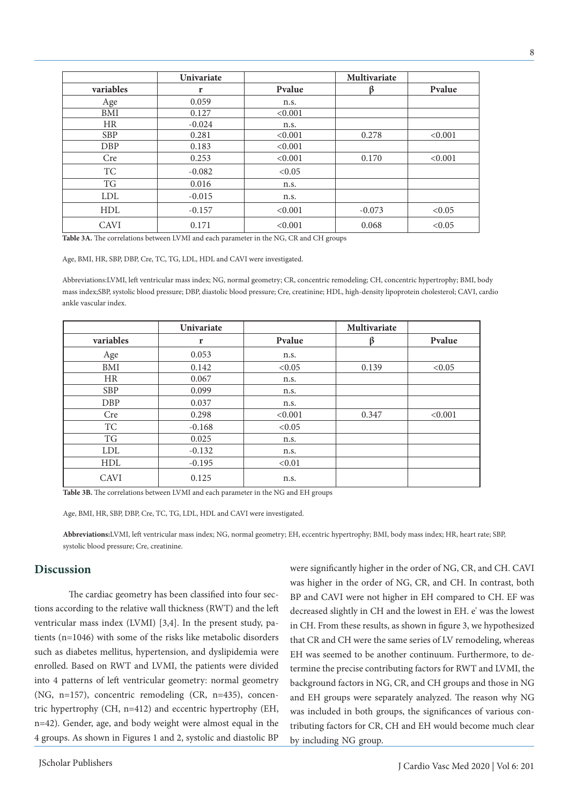|             | <b>Univariate</b> |         | <b>Multivariate</b> |         |
|-------------|-------------------|---------|---------------------|---------|
| variables   | r                 | Pvalue  |                     | Pvalue  |
| Age         | 0.059             | n.s.    |                     |         |
| BMI         | 0.127             | < 0.001 |                     |         |
| <b>HR</b>   | $-0.024$          | n.s.    |                     |         |
| <b>SBP</b>  | 0.281             | < 0.001 | 0.278               | < 0.001 |
| <b>DBP</b>  | 0.183             | < 0.001 |                     |         |
| Cre         | 0.253             | < 0.001 | 0.170               | < 0.001 |
| <b>TC</b>   | $-0.082$          | < 0.05  |                     |         |
| TG          | 0.016             | n.s.    |                     |         |
| <b>LDL</b>  | $-0.015$          | n.s.    |                     |         |
| <b>HDL</b>  | $-0.157$          | < 0.001 | $-0.073$            | < 0.05  |
| <b>CAVI</b> | 0.171             | < 0.001 | 0.068               | < 0.05  |

**Table 3A.** The correlations between LVMI and each parameter in the NG, CR and CH groups

Age, BMI, HR, SBP, DBP, Cre, TC, TG, LDL, HDL and CAVI were investigated.

Abbreviations:LVMI, left ventricular mass index; NG, normal geometry; CR, concentric remodeling; CH, concentric hypertrophy; BMI, body mass index;SBP, systolic blood pressure; DBP, diastolic blood pressure; Cre, creatinine; HDL, high-density lipoprotein cholesterol; CAVI, cardio ankle vascular index.

|             | Univariate |         | Multivariate |         |
|-------------|------------|---------|--------------|---------|
| variables   | r          | Pvalue  | ß            | Pvalue  |
| Age         | 0.053      | n.s.    |              |         |
| BMI         | 0.142      | < 0.05  | 0.139        | < 0.05  |
| <b>HR</b>   | 0.067      | n.s.    |              |         |
| <b>SBP</b>  | 0.099      | n.s.    |              |         |
| <b>DBP</b>  | 0.037      | n.s.    |              |         |
| Cre         | 0.298      | < 0.001 | 0.347        | < 0.001 |
| TC          | $-0.168$   | < 0.05  |              |         |
| TG          | 0.025      | n.s.    |              |         |
| <b>LDL</b>  | $-0.132$   | n.s.    |              |         |
| <b>HDL</b>  | $-0.195$   | < 0.01  |              |         |
| <b>CAVI</b> | 0.125      | n.s.    |              |         |

**Table 3B.** The correlations between LVMI and each parameter in the NG and EH groups

Age, BMI, HR, SBP, DBP, Cre, TC, TG, LDL, HDL and CAVI were investigated.

**Abbreviations:**LVMI, left ventricular mass index; NG, normal geometry; EH, eccentric hypertrophy; BMI, body mass index; HR, heart rate; SBP, systolic blood pressure; Cre, creatinine.

## **Discussion**

The cardiac geometry has been classified into four sections according to the relative wall thickness (RWT) and the left ventricular mass index (LVMI) [3,4]. In the present study, patients (n=1046) with some of the risks like metabolic disorders such as diabetes mellitus, hypertension, and dyslipidemia were enrolled. Based on RWT and LVMI, the patients were divided into 4 patterns of left ventricular geometry: normal geometry (NG, n=157), concentric remodeling (CR, n=435), concentric hypertrophy (CH, n=412) and eccentric hypertrophy (EH, n=42). Gender, age, and body weight were almost equal in the 4 groups. As shown in Figures 1 and 2, systolic and diastolic BP

were significantly higher in the order of NG, CR, and CH. CAVI was higher in the order of NG, CR, and CH. In contrast, both BP and CAVI were not higher in EH compared to CH. EF was decreased slightly in CH and the lowest in EH. e' was the lowest in CH. From these results, as shown in figure 3, we hypothesized that CR and CH were the same series of LV remodeling, whereas EH was seemed to be another continuum. Furthermore, to determine the precise contributing factors for RWT and LVMI, the background factors in NG, CR, and CH groups and those in NG and EH groups were separately analyzed. The reason why NG was included in both groups, the significances of various contributing factors for CR, CH and EH would become much clear by including NG group.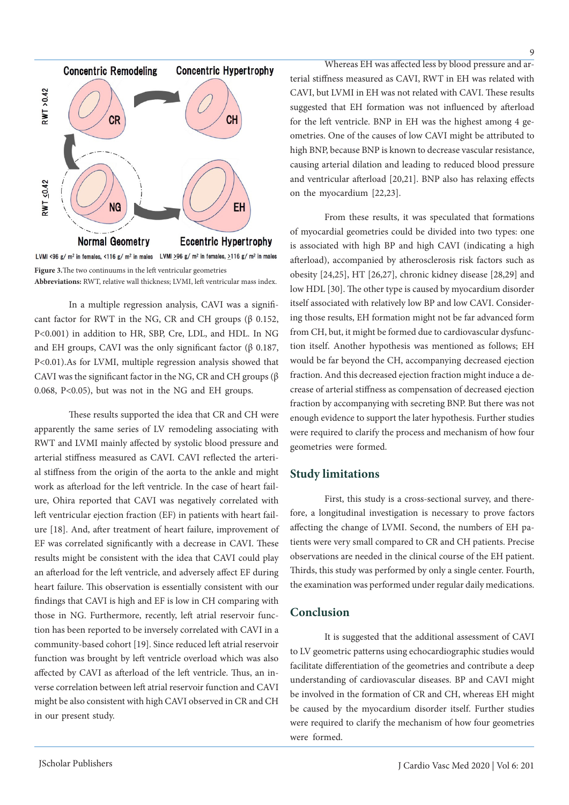



In a multiple regression analysis, CAVI was a significant factor for RWT in the NG, CR and CH groups ( $\beta$  0.152, P<0.001) in addition to HR, SBP, Cre, LDL, and HDL. In NG and EH groups, CAVI was the only significant factor (β 0.187, P<0.01).As for LVMI, multiple regression analysis showed that CAVI was the significant factor in the NG, CR and CH groups  $(\beta$ 0.068, P<0.05), but was not in the NG and EH groups.

These results supported the idea that CR and CH were apparently the same series of LV remodeling associating with RWT and LVMI mainly affected by systolic blood pressure and arterial stiffness measured as CAVI. CAVI reflected the arterial stiffness from the origin of the aorta to the ankle and might work as afterload for the left ventricle. In the case of heart failure, Ohira reported that CAVI was negatively correlated with left ventricular ejection fraction (EF) in patients with heart failure [18]. And, after treatment of heart failure, improvement of EF was correlated significantly with a decrease in CAVI. These results might be consistent with the idea that CAVI could play an afterload for the left ventricle, and adversely affect EF during heart failure. This observation is essentially consistent with our findings that CAVI is high and EF is low in CH comparing with those in NG. Furthermore, recently, left atrial reservoir function has been reported to be inversely correlated with CAVI in a community-based cohort [19]. Since reduced left atrial reservoir function was brought by left ventricle overload which was also affected by CAVI as afterload of the left ventricle. Thus, an inverse correlation between left atrial reservoir function and CAVI might be also consistent with high CAVI observed in CR and CH in our present study.

Whereas EH was affected less by blood pressure and arterial stiffness measured as CAVI, RWT in EH was related with CAVI, but LVMI in EH was not related with CAVI. These results suggested that EH formation was not influenced by afterload for the left ventricle. BNP in EH was the highest among 4 geometries. One of the causes of low CAVI might be attributed to high BNP, because BNP is known to decrease vascular resistance, causing arterial dilation and leading to reduced blood pressure and ventricular afterload [20,21]. BNP also has relaxing effects on the myocardium [22,23].

From these results, it was speculated that formations of myocardial geometries could be divided into two types: one is associated with high BP and high CAVI (indicating a high afterload), accompanied by atherosclerosis risk factors such as obesity [24,25], HT [26,27], chronic kidney disease [28,29] and low HDL [30]. The other type is caused by myocardium disorder itself associated with relatively low BP and low CAVI. Considering those results, EH formation might not be far advanced form from CH, but, it might be formed due to cardiovascular dysfunction itself. Another hypothesis was mentioned as follows; EH would be far beyond the CH, accompanying decreased ejection fraction. And this decreased ejection fraction might induce a decrease of arterial stiffness as compensation of decreased ejection fraction by accompanying with secreting BNP. But there was not enough evidence to support the later hypothesis. Further studies were required to clarify the process and mechanism of how four geometries were formed.

## **Study limitations**

First, this study is a cross-sectional survey, and therefore, a longitudinal investigation is necessary to prove factors affecting the change of LVMI. Second, the numbers of EH patients were very small compared to CR and CH patients. Precise observations are needed in the clinical course of the EH patient. Thirds, this study was performed by only a single center. Fourth, the examination was performed under regular daily medications.

## **Conclusion**

It is suggested that the additional assessment of CAVI to LV geometric patterns using echocardiographic studies would facilitate differentiation of the geometries and contribute a deep understanding of cardiovascular diseases. BP and CAVI might be involved in the formation of CR and CH, whereas EH might be caused by the myocardium disorder itself. Further studies were required to clarify the mechanism of how four geometries were formed.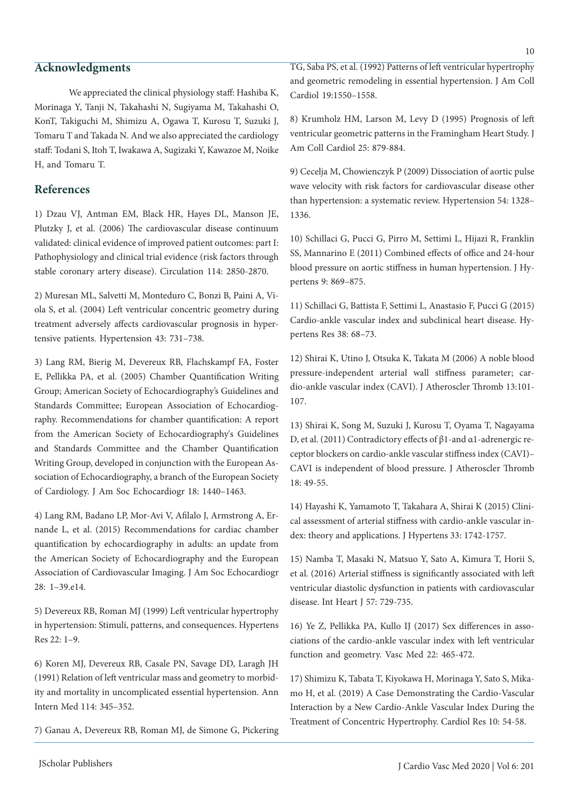## **Acknowledgments**

We appreciated the clinical physiology staff: Hashiba K, Morinaga Y, Tanji N, Takahashi N, Sugiyama M, Takahashi O, KonT, Takiguchi M, Shimizu A, Ogawa T, Kurosu T, Suzuki J, Tomaru T and Takada N. And we also appreciated the cardiology staff: Todani S, Itoh T, Iwakawa A, Sugizaki Y, Kawazoe M, Noike H, and Tomaru T.

# **References**

1) Dzau VJ, Antman EM, Black HR, Hayes DL, Manson JE, Plutzky J, et al. (2006) The cardiovascular disease continuum validated: clinical evidence of improved patient outcomes: part I: Pathophysiology and clinical trial evidence (risk factors through stable coronary artery disease). Circulation 114: 2850-2870.

2) Muresan ML, Salvetti M, Monteduro C, Bonzi B, Paini A, Viola S, et al. (2004) Left ventricular concentric geometry during treatment adversely affects cardiovascular prognosis in hypertensive patients. Hypertension 43: 731–738.

3) Lang RM, Bierig M, Devereux RB, Flachskampf FA, Foster E, Pellikka PA, et al. (2005) Chamber Quantification Writing Group; American Society of Echocardiography's Guidelines and Standards Committee; European Association of Echocardiography. Recommendations for chamber quantification: A report from the American Society of Echocardiography's Guidelines and Standards Committee and the Chamber Quantification Writing Group, developed in conjunction with the European Association of Echocardiography, a branch of the European Society of Cardiology. J Am Soc Echocardiogr 18: 1440–1463.

4) Lang RM, Badano LP, Mor-Avi V, Afilalo J, Armstrong A, Ernande L, et al. (2015) Recommendations for cardiac chamber quantification by echocardiography in adults: an update from the American Society of Echocardiography and the European Association of Cardiovascular Imaging. J Am Soc Echocardiogr 28: 1–39.e14.

5) Devereux RB, Roman MJ (1999) Left ventricular hypertrophy in hypertension: Stimuli, patterns, and consequences. Hypertens Res 22: 1–9.

6) Koren MJ, Devereux RB, Casale PN, Savage DD, Laragh JH (1991) Relation of left ventricular mass and geometry to morbidity and mortality in uncomplicated essential hypertension. Ann Intern Med 114: 345–352.

7) Ganau A, Devereux RB, Roman MJ, de Simone G, Pickering

TG, Saba PS, et al. (1992) Patterns of left ventricular hypertrophy and geometric remodeling in essential hypertension. J Am Coll Cardiol 19:1550–1558.

8) Krumholz HM, Larson M, Levy D (1995) Prognosis of left ventricular geometric patterns in the Framingham Heart Study. J Am Coll Cardiol 25: 879-884.

9) Cecelja M, Chowienczyk P (2009) Dissociation of aortic pulse wave velocity with risk factors for cardiovascular disease other than hypertension: a systematic review. Hypertension 54: 1328– 1336.

10) Schillaci G, Pucci G, Pirro M, Settimi L, Hijazi R, Franklin SS, Mannarino E (2011) Combined effects of office and 24-hour blood pressure on aortic stiffness in human hypertension. J Hypertens 9: 869–875.

11) Schillaci G, Battista F, Settimi L, Anastasio F, Pucci G (2015) Cardio-ankle vascular index and subclinical heart disease. Hypertens Res 38: 68–73.

12) Shirai K, Utino J, Otsuka K, Takata M (2006) A noble blood pressure-independent arterial wall stiffness parameter; cardio-ankle vascular index (CAVI). J Atheroscler Thromb 13:101- 107.

13) Shirai K, Song M, Suzuki J, Kurosu T, Oyama T, Nagayama D, et al. (2011) Contradictory effects of β1-and α1-adrenergic receptor blockers on cardio-ankle vascular stiffness index (CAVI)– CAVI is independent of blood pressure. J Atheroscler Thromb 18: 49-55.

14) Hayashi K, Yamamoto T, Takahara A, Shirai K (2015) Clinical assessment of arterial stiffness with cardio-ankle vascular index: theory and applications. J Hypertens 33: 1742-1757.

15) Namba T, Masaki N, Matsuo Y, Sato A, Kimura T, Horii S, et al. (2016) Arterial stiffness is significantly associated with left ventricular diastolic dysfunction in patients with cardiovascular disease. Int Heart J 57: 729-735.

16) Ye Z, Pellikka PA, Kullo IJ (2017) Sex differences in associations of the cardio-ankle vascular index with left ventricular function and geometry. Vasc Med 22: 465-472.

17) Shimizu K, Tabata T, Kiyokawa H, Morinaga Y, Sato S, Mikamo H, et al. (2019) A Case Demonstrating the Cardio-Vascular Interaction by a New Cardio-Ankle Vascular Index During the Treatment of Concentric Hypertrophy. Cardiol Res 10: 54-58.